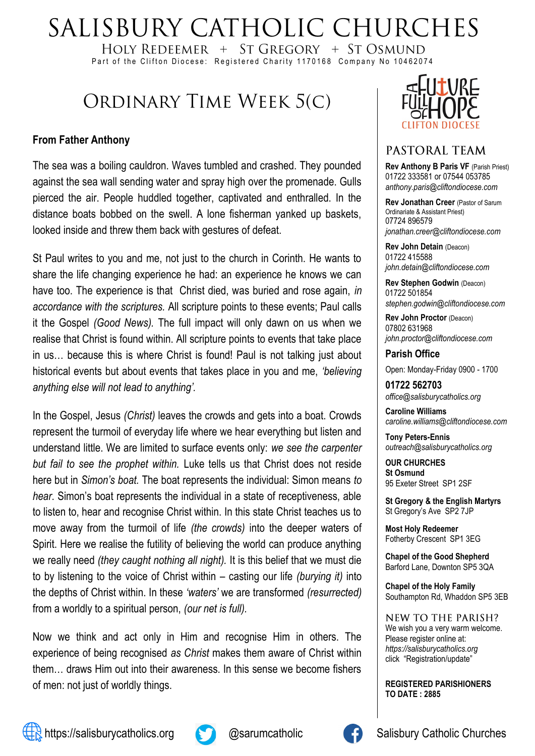# SALISBURY CATHOLIC CHURCHES

HOLY REDEEMER  $+$  ST GREGORY  $+$  ST OSMUND Part of the Clifton Diocese: Registered Charity 1170168 Company No 10462074

## ORDINARY TIME WEEK 5(C)

#### **From Father Anthony**

The sea was a boiling cauldron. Waves tumbled and crashed. They pounded against the sea wall sending water and spray high over the promenade. Gulls pierced the air. People huddled together, captivated and enthralled. In the distance boats bobbed on the swell. A lone fisherman yanked up baskets, looked inside and threw them back with gestures of defeat.

St Paul writes to you and me, not just to the church in Corinth. He wants to share the life changing experience he had: an experience he knows we can have too. The experience is that Christ died, was buried and rose again, *in accordance with the scriptures.* All scripture points to these events; Paul calls it the Gospel *(Good News).* The full impact will only dawn on us when we realise that Christ is found within. All scripture points to events that take place in us… because this is where Christ is found! Paul is not talking just about historical events but about events that takes place in you and me, *'believing anything else will not lead to anything'.*

In the Gospel, Jesus *(Christ)* leaves the crowds and gets into a boat. Crowds represent the turmoil of everyday life where we hear everything but listen and understand little. We are limited to surface events only: *we see the carpenter but fail to see the prophet within.* Luke tells us that Christ does not reside here but in *Simon's boat.* The boat represents the individual: Simon means *to hear*. Simon's boat represents the individual in a state of receptiveness, able to listen to, hear and recognise Christ within. In this state Christ teaches us to move away from the turmoil of life *(the crowds)* into the deeper waters of Spirit. Here we realise the futility of believing the world can produce anything we really need *(they caught nothing all night).* It is this belief that we must die to by listening to the voice of Christ within – casting our life *(burying it)* into the depths of Christ within. In these *'waters'* we are transformed *(resurrected)* from a worldly to a spiritual person, *(our net is full).* 

Now we think and act only in Him and recognise Him in others. The experience of being recognised *as Christ* makes them aware of Christ within them… draws Him out into their awareness. In this sense we become fishers of men: not just of worldly things.



#### PASTORAL TEAM

**Rev Anthony B Paris VF (Parish Priest)** 01722 333581 or 07544 053785 *anthony.paris@cliftondiocese.com*

**Rev Jonathan Creer** (Pastor of Sarum Ordinariate & Assistant Priest) 07724 896579 *jonathan.creer@cliftondiocese.com*

**Rev John Detain** (Deacon) 01722 415588 *john.detain@cliftondiocese.com*

**Rev Stephen Godwin** (Deacon) 01722 501854 *stephen.godwin@cliftondiocese.com*

**Rev John Proctor** (Deacon) 07802 631968 *john.proctor@cliftondiocese.com*

**Parish Office** 

Open: Monday-Friday 0900 - 1700

**01722 562703** *office@salisburycatholics.org*

**Caroline Williams** *caroline.williams@cliftondiocese.com*

**Tony Peters-Ennis** *outreach@salisburycatholics.org*

**OUR CHURCHES St Osmund** 95 Exeter Street SP1 2SF

**St Gregory & the English Martyrs** St Gregory's Ave SP2 7JP

**Most Holy Redeemer**  Fotherby Crescent SP1 3EG

**Chapel of the Good Shepherd** Barford Lane, Downton SP5 3QA

**Chapel of the Holy Family** Southampton Rd, Whaddon SP5 3EB

NEW TO THE PARISH? We wish you a very warm welcome. Please register online at: *[https://salisburycatholics.org](https://p1.pamis.co.uk/salisbury/onlined01cab)*  [click "Registration/update"](https://p1.pamis.co.uk/salisbury/onlined01cab) 

**REGISTERED PARISHIONERS TO DATE : 2885**





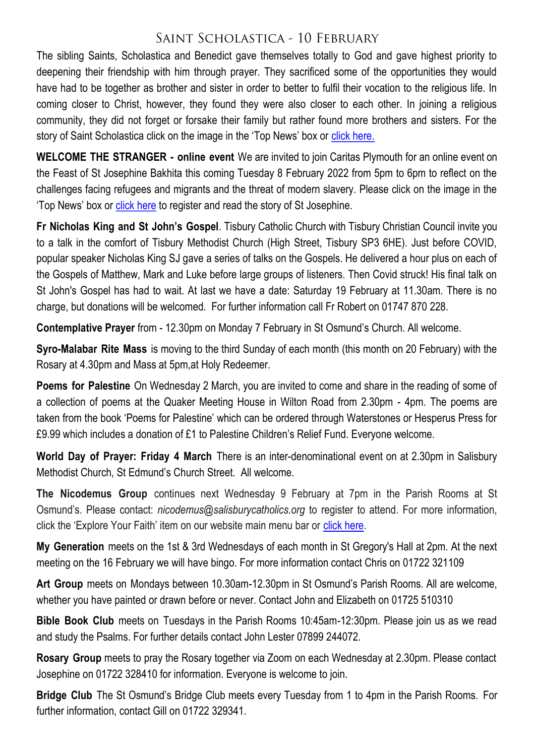#### SAINT SCHOLASTICA - 10 FEBRUARY

The sibling Saints, Scholastica and Benedict gave themselves totally to God and gave highest priority to deepening their friendship with him through prayer. They sacrificed some of the opportunities they would have had to be together as brother and sister in order to better to fulfil their vocation to the religious life. In coming closer to Christ, however, they found they were also closer to each other. In joining a religious community, they did not forget or forsake their family but rather found more brothers and sisters. For the story of Saint Scholastica click on the image in the 'Top News' box or [click here.](https://salisburycatholics.org/blog/st-scholastica)

**WELCOME THE STRANGER - online event** We are invited to join Caritas Plymouth for an online event on the Feast of St Josephine Bakhita this coming Tuesday 8 February 2022 from 5pm to 6pm to reflect on the challenges facing refugees and migrants and the threat of modern slavery. Please click on the image in the 'Top News' box or [click here](https://salisburycatholics.org/welcome-stranger) to register and read the story of St Josephine.

**Fr Nicholas King and St John's Gospel**. Tisbury Catholic Church with Tisbury Christian Council invite you to a talk in the comfort of Tisbury Methodist Church (High Street, Tisbury SP3 6HE). Just before COVID, popular speaker Nicholas King SJ gave a series of talks on the Gospels. He delivered a hour plus on each of the Gospels of Matthew, Mark and Luke before large groups of listeners. Then Covid struck! His final talk on St John's Gospel has had to wait. At last we have a date: Saturday 19 February at 11.30am. There is no charge, but donations will be welcomed. For further information call Fr Robert on 01747 870 228.

**Contemplative Prayer** from - 12.30pm on Monday 7 February in St Osmund's Church. All welcome.

**Syro-Malabar Rite Mass** is moving to the third Sunday of each month (this month on 20 February) with the Rosary at 4.30pm and Mass at 5pm,at Holy Redeemer.

**Poems for Palestine** On Wednesday 2 March, you are invited to come and share in the reading of some of a collection of poems at the Quaker Meeting House in Wilton Road from 2.30pm - 4pm. The poems are taken from the book 'Poems for Palestine' which can be ordered through Waterstones or Hesperus Press for £9.99 which includes a donation of £1 to Palestine Children's Relief Fund. Everyone welcome.

**World Day of Prayer: Friday 4 March** There is an inter-denominational event on at 2.30pm in Salisbury Methodist Church, St Edmund's Church Street. All welcome.

**The Nicodemus Group** continues next Wednesday 9 February at 7pm in the Parish Rooms at St Osmund's. Please contact: *nicodemus@salisburycatholics.org* to register to attend. For more information, click the 'Explore Your Faith' item on our website main menu bar or [click here.](https://salisburycatholics.org/explore-your-faith)

**My Generation** meets on the 1st & 3rd Wednesdays of each month in St Gregory's Hall at 2pm. At the next meeting on the 16 February we will have bingo. For more information contact Chris on 01722 321109

**Art Group** meets on Mondays between 10.30am-12.30pm in St Osmund's Parish Rooms. All are welcome, whether you have painted or drawn before or never. Contact John and Elizabeth on 01725 510310

**Bible Book Club** meets on Tuesdays in the Parish Rooms 10:45am-12:30pm. Please join us as we read and study the Psalms. For further details contact John Lester 07899 244072.

**Rosary Group** meets to pray the Rosary together via Zoom on each Wednesday at 2.30pm. Please contact Josephine on 01722 328410 for information. Everyone is welcome to join.

**Bridge Club** The St Osmund's Bridge Club meets every Tuesday from 1 to 4pm in the Parish Rooms. For further information, contact Gill on 01722 329341.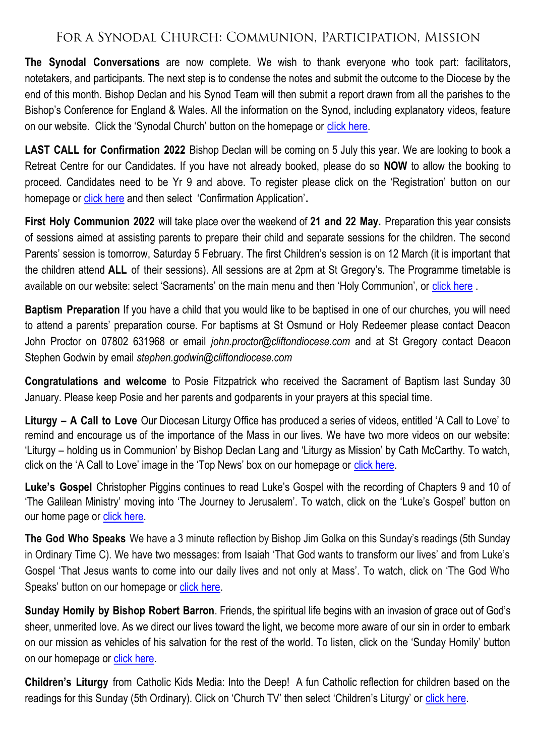## FOR A SYNODAL CHURCH: COMMUNION, PARTICIPATION, MISSION

**The Synodal Conversations** are now complete. We wish to thank everyone who took part: facilitators, notetakers, and participants. The next step is to condense the notes and submit the outcome to the Diocese by the end of this month. Bishop Declan and his Synod Team will then submit a report drawn from all the parishes to the Bishop's Conference for England & Wales. All the information on the Synod, including explanatory videos, feature on our website. Click the 'Synodal Church' button on the homepage or [click here.](https://salisburycatholics.org/synodal-church)

**LAST CALL for Confirmation 2022** Bishop Declan will be coming on 5 July this year. We are looking to book a Retreat Centre for our Candidates. If you have not already booked, please do so **NOW** to allow the booking to proceed. Candidates need to be Yr 9 and above. To register please click on the 'Registration' button on our homepage or [click here](https://p3.pamis.co.uk/salisbury/onlined01cab) and then select 'Confirmation Application'**.** 

**First Holy Communion 2022** will take place over the weekend of **21 and 22 May.** Preparation this year consists of sessions aimed at assisting parents to prepare their child and separate sessions for the children. The second Parents' session is tomorrow, Saturday 5 February. The first Children's session is on 12 March (it is important that the children attend **ALL** of their sessions). All sessions are at 2pm at St Gregory's. The Programme timetable is available on our website: select 'Sacraments' on the main menu and then 'Holy Communion', or [click here](https://salisburycatholics.org/holy-communion) .

**Baptism Preparation** If you have a child that you would like to be baptised in one of our churches, you will need to attend a parents' preparation course. For baptisms at St Osmund or Holy Redeemer please contact Deacon John Proctor on 07802 631968 or email *john.proctor@cliftondiocese.com* and at St Gregory contact Deacon Stephen Godwin by email *stephen.godwin@cliftondiocese.com*

**Congratulations and welcome** to Posie Fitzpatrick who received the Sacrament of Baptism last Sunday 30 January. Please keep Posie and her parents and godparents in your prayers at this special time.

**Liturgy – A Call to Love** Our Diocesan Liturgy Office has produced a series of videos, entitled 'A Call to Love' to remind and encourage us of the importance of the Mass in our lives. We have two more videos on our website: 'Liturgy – holding us in Communion' by Bishop Declan Lang and 'Liturgy as Mission' by Cath McCarthy. To watch, click on the 'A Call to Love' image in the 'Top News' box on our homepage or [click here.](https://salisburycatholics.org/call-love)

**Luke's Gospel** Christopher Piggins continues to read Luke's Gospel with the recording of Chapters 9 and 10 of 'The Galilean Ministry' moving into 'The Journey to Jerusalem'. To watch, click on the 'Luke's Gospel' button on our home page or [click here.](https://salisburycatholics.org/lukes-gospel)

**The God Who Speaks** We have a 3 minute reflection by Bishop Jim Golka on this Sunday's readings (5th Sunday in Ordinary Time C). We have two messages: from Isaiah 'That God wants to transform our lives' and from Luke's Gospel 'That Jesus wants to come into our daily lives and not only at Mass'. To watch, click on 'The God Who Speaks' button on our homepage or [click here.](https://salisburycatholics.org/god-who-speaks)

**Sunday Homily by Bishop Robert Barron**. Friends, the spiritual life begins with an invasion of grace out of God's sheer, unmerited love. As we direct our lives toward the light, we become more aware of our sin in order to embark on our mission as vehicles of his salvation for the rest of the world. To listen, click on the 'Sunday Homily' button on our homepage or [click here.](https://salisburycatholics.org/sunday-homily)

**Children's Liturgy** from Catholic Kids Media: Into the Deep! A fun Catholic reflection for children based on the readings for this Sunday (5th Ordinary). Click on 'Church TV' then select 'Children's Liturgy' or click here.